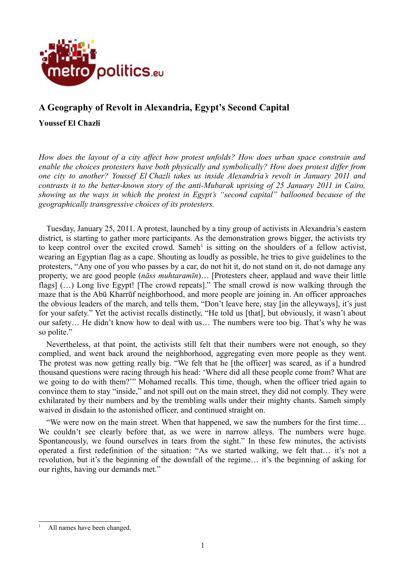

# **A Geography of Revolt in Alexandria, Egypt's Second Capital**

## **Youssef El Chazli**

*How does the layout of a city affect how protest unfolds? How does urban space constrain and enable the choices protesters have both physically and symbolically? How does protest differ from one city to another? Youssef El Chazli takes us inside Alexandria's revolt in January 2011 and contrasts it to the better-known story of the anti-Mubarak uprising of 25 January 2011 in Cairo, showing us the ways in which the protest in Egypt's "second capital" ballooned because of the geographically transgressive choices of its protesters.*

Tuesday, January 25, 2011. A protest, launched by a tiny group of activists in Alexandria's eastern district, is starting to gather more participants. As the demonstration grows bigger, the activists try to keep control over the excited crowd. Sameh<sup>[1](#page-0-0)</sup> is sitting on the shoulders of a fellow activist, wearing an Egyptian flag as a cape. Shouting as loudly as possible, he tries to give guidelines to the protesters, "Any one of you who passes by a car, do not hit it, do not stand on it, do not damage any property, we are good people (*nāss muhtaramīn*)… [Protesters cheer, applaud and wave their little flags] (…) Long live Egypt! [The crowd repeats]." The small crowd is now walking through the maze that is the Abū Kharrūf neighborhood, and more people are joining in. An officer approaches the obvious leaders of the march, and tells them, "Don't leave here, stay [in the alleyways], it's just for your safety." Yet the activist recalls distinctly, "He told us [that], but obviously, it wasn't about our safety… He didn't know how to deal with us… The numbers were too big. That's why he was so polite."

Nevertheless, at that point, the activists still felt that their numbers were not enough, so they complied, and went back around the neighborhood, aggregating even more people as they went. The protest was now getting really big. "We felt that he [the officer] was scared, as if a hundred thousand questions were racing through his head: 'Where did all these people come from? What are we going to do with them?'" Mohamed recalls. This time, though, when the officer tried again to convince them to stay "inside," and not spill out on the main street, they did not comply. They were exhilarated by their numbers and by the trembling walls under their mighty chants. Sameh simply waived in disdain to the astonished officer, and continued straight on.

"We were now on the main street. When that happened, we saw the numbers for the first time… We couldn't see clearly before that, as we were in narrow alleys. The numbers were huge. Spontaneously, we found ourselves in tears from the sight." In these few minutes, the activists operated a first redefinition of the situation: "As we started walking, we felt that… it's not a revolution, but it's the beginning of the downfall of the regime… it's the beginning of asking for our rights, having our demands met."

<span id="page-0-0"></span>All names have been changed.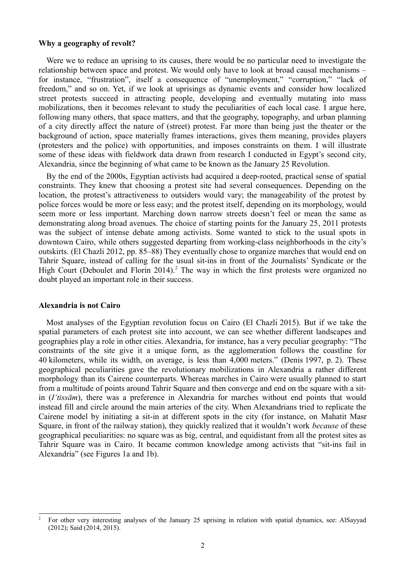#### **Why a geography of revolt?**

Were we to reduce an uprising to its causes, there would be no particular need to investigate the relationship between space and protest. We would only have to look at broad causal mechanisms – for instance, "frustration", itself a consequence of "unemployment," "corruption," "lack of freedom," and so on. Yet, if we look at uprisings as dynamic events and consider how localized street protests succeed in attracting people, developing and eventually mutating into mass mobilizations, then it becomes relevant to study the peculiarities of each local case. I argue here, following many others, that space matters, and that the geography, topography, and urban planning of a city directly affect the nature of (street) protest. Far more than being just the theater or the background of action, space materially frames interactions, gives them meaning, provides players (protesters and the police) with opportunities, and imposes constraints on them. I will illustrate some of these ideas with fieldwork data drawn from research I conducted in Egypt's second city, Alexandria, since the beginning of what came to be known as the January 25 Revolution.

By the end of the 2000s, Egyptian activists had acquired a deep-rooted, practical sense of spatial constraints. They knew that choosing a protest site had several consequences. Depending on the location, the protest's attractiveness to outsiders would vary; the manageability of the protest by police forces would be more or less easy; and the protest itself, depending on its morphology, would seem more or less important. Marching down narrow streets doesn't feel or mean the same as demonstrating along broad avenues. The choice of starting points for the January 25, 2011 protests was the subject of intense debate among activists. Some wanted to stick to the usual spots in downtown Cairo, while others suggested departing from working-class neighborhoods in the city's outskirts. (El Chazli 2012, pp. 85–88) They eventually chose to organize marches that would end on Tahrir Square, instead of calling for the usual sit-ins in front of the Journalists' Syndicate or the High Court (Deboulet and Florin [2](#page-1-0)014).<sup>2</sup> The way in which the first protests were organized no doubt played an important role in their success.

#### **Alexandria is not Cairo**

Most analyses of the Egyptian revolution focus on Cairo (El Chazli 2015). But if we take the spatial parameters of each protest site into account, we can see whether different landscapes and geographies play a role in other cities. Alexandria, for instance, has a very peculiar geography: "The constraints of the site give it a unique form, as the agglomeration follows the coastline for 40 kilometers, while its width, on average, is less than 4,000 meters." (Denis 1997, p. 2). These geographical peculiarities gave the revolutionary mobilizations in Alexandria a rather different morphology than its Cairene counterparts. Whereas marches in Cairo were usually planned to start from a multitude of points around Tahrir Square and then converge and end on the square with a sitin (*I'tissām*), there was a preference in Alexandria for marches without end points that would instead fill and circle around the main arteries of the city. When Alexandrians tried to replicate the Cairene model by initiating a sit-in at different spots in the city (for instance, on Mahatit Masr Square, in front of the railway station), they quickly realized that it wouldn't work *because* of these geographical peculiarities: no square was as big, central, and equidistant from all the protest sites as Tahrir Square was in Cairo. It became common knowledge among activists that "sit-ins fail in Alexandria" (see Figures 1a and 1b).

<span id="page-1-0"></span><sup>2</sup> For other very interesting analyses of the January 25 uprising in relation with spatial dynamics, see: AlSayyad (2012); Said (2014, 2015).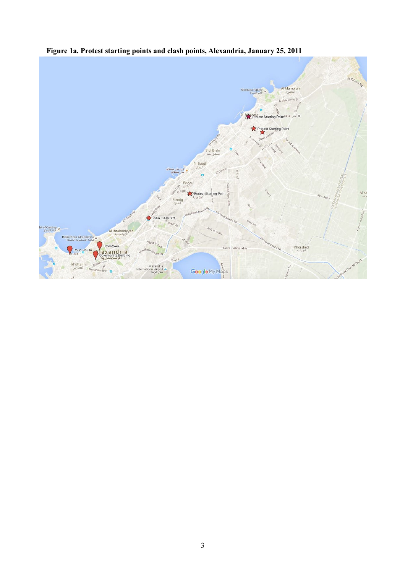

**Figure 1a. Protest starting points and clash points, Alexandria, January 25, 2011**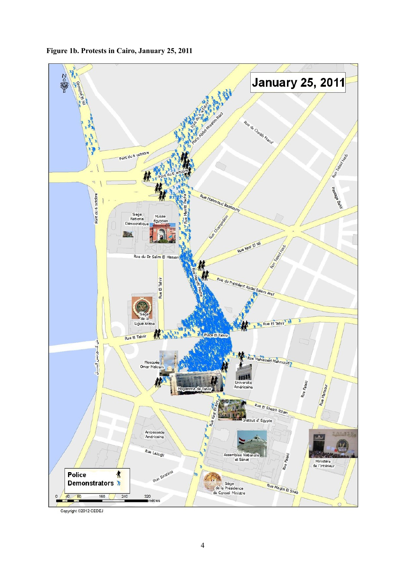



Copyright ©2012 CEDEJ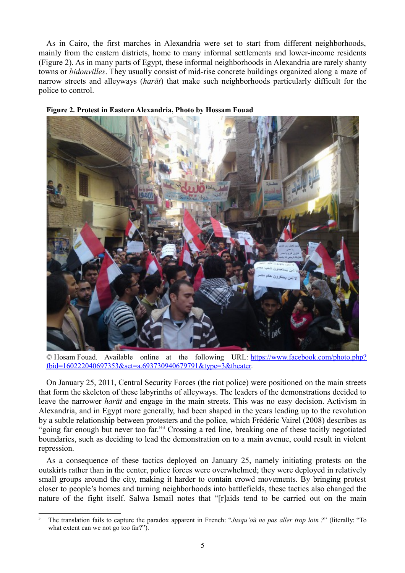As in Cairo, the first marches in Alexandria were set to start from different neighborhoods, mainly from the eastern districts, home to many informal settlements and lower-income residents (Figure 2). As in many parts of Egypt, these informal neighborhoods in Alexandria are rarely shanty towns or *bidonvilles*. They usually consist of mid-rise concrete buildings organized along a maze of narrow streets and alleyways (*harāt*) that make such neighborhoods particularly difficult for the police to control.



#### **Figure 2. Protest in Eastern Alexandria, Photo by Hossam Fouad**

© Hosam Fouad. Available online at the following URL: [https://www.facebook.com/photo.php?](https://www.facebook.com/photo.php?fbid=160222040697353&set=a.693730940679791&type=3&theater) [fbid=160222040697353&set=a.693730940679791&type=3&theater.](https://www.facebook.com/photo.php?fbid=160222040697353&set=a.693730940679791&type=3&theater)

On January 25, 2011, Central Security Forces (the riot police) were positioned on the main streets that form the skeleton of these labyrinths of alleyways. The leaders of the demonstrations decided to leave the narrower *harāt* and engage in the main streets. This was no easy decision. Activism in Alexandria, and in Egypt more generally, had been shaped in the years leading up to the revolution by a subtle relationship between protesters and the police, which Frédéric Vairel (2008) describes as "going far enough but never too far."<sup>[3](#page-4-0)</sup> Crossing a red line, breaking one of these tacitly negotiated boundaries, such as deciding to lead the demonstration on to a main avenue, could result in violent repression.

As a consequence of these tactics deployed on January 25, namely initiating protests on the outskirts rather than in the center, police forces were overwhelmed; they were deployed in relatively small groups around the city, making it harder to contain crowd movements. By bringing protest closer to people's homes and turning neighborhoods into battlefields, these tactics also changed the nature of the fight itself. Salwa Ismail notes that "[r]aids tend to be carried out on the main

<span id="page-4-0"></span><sup>3</sup> The translation fails to capture the paradox apparent in French: "*Jusqu'où ne pas aller trop loin ?*" (literally: "To what extent can we not go too far?").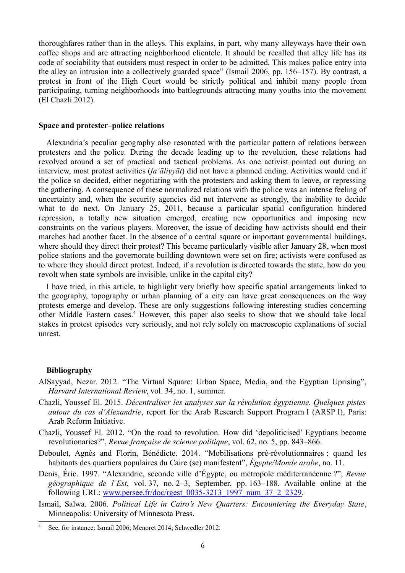thoroughfares rather than in the alleys. This explains, in part, why many alleyways have their own coffee shops and are attracting neighborhood clientele. It should be recalled that alley life has its code of sociability that outsiders must respect in order to be admitted. This makes police entry into the alley an intrusion into a collectively guarded space" (Ismail 2006, pp. 156–157). By contrast, a protest in front of the High Court would be strictly political and inhibit many people from participating, turning neighborhoods into battlegrounds attracting many youths into the movement (El Chazli 2012).

#### **Space and protester–police relations**

Alexandria's peculiar geography also resonated with the particular pattern of relations between protesters and the police. During the decade leading up to the revolution, these relations had revolved around a set of practical and tactical problems. As one activist pointed out during an interview, most protest activities (*fa'āliyyāt*) did not have a planned ending. Activities would end if the police so decided, either negotiating with the protesters and asking them to leave, or repressing the gathering. A consequence of these normalized relations with the police was an intense feeling of uncertainty and, when the security agencies did not intervene as strongly, the inability to decide what to do next. On January 25, 2011, because a particular spatial configuration hindered repression, a totally new situation emerged, creating new opportunities and imposing new constraints on the various players. Moreover, the issue of deciding how activists should end their marches had another facet. In the absence of a central square or important governmental buildings, where should they direct their protest? This became particularly visible after January 28, when most police stations and the governorate building downtown were set on fire; activists were confused as to where they should direct protest. Indeed, if a revolution is directed towards the state, how do you revolt when state symbols are invisible, unlike in the capital city?

I have tried, in this article, to highlight very briefly how specific spatial arrangements linked to the geography, topography or urban planning of a city can have great consequences on the way protests emerge and develop. These are only suggestions following interesting studies concerning other Middle Eastern cases.<sup>[4](#page-5-0)</sup> However, this paper also seeks to show that we should take local stakes in protest episodes very seriously, and not rely solely on macroscopic explanations of social unrest.

#### **Bibliography**

- AlSayyad, Nezar. 2012. "The Virtual Square: Urban Space, Media, and the Egyptian Uprising", *Harvard International Review*, vol. 34, no. 1, summer.
- Chazli, Youssef El. 2015. *Décentraliser les analyses sur la révolution égyptienne. Quelques pistes autour du cas d'Alexandrie*, report for the Arab Research Support Program I (ARSP I), Paris: Arab Reform Initiative.
- Chazli, Youssef El. 2012. "On the road to revolution. How did 'depoliticised' Egyptians become revolutionaries?", *Revue française de science politique*, vol. 62, no. 5, pp. 843–866.
- Deboulet, Agnès and Florin, Bénédicte. 2014. "Mobilisations pré-révolutionnaires : quand les habitants des quartiers populaires du Caire (se) manifestent", *Égypte/Monde arabe*, no. 11.
- Denis, Éric. 1997. "Alexandrie, seconde ville d'Égypte, ou métropole méditerranéenne ?", *Revue géographique de l'Est*, vol. 37, no. 2–3, September, pp. 163–188. Available online at the following URL: [www.persee.fr/doc/rgest\\_0035-3213\\_1997\\_num\\_37\\_2\\_2329.](http://www.persee.fr/doc/rgest_0035-3213_1997_num_37_2_2329)
- Ismail, Salwa. 2006. *Political Life in Cairo's New Quarters: Encountering the Everyday State*, Minneapolis: University of Minnesota Press.

<span id="page-5-0"></span>See, for instance: Ismail 2006; Menoret 2014; Schwedler 2012.